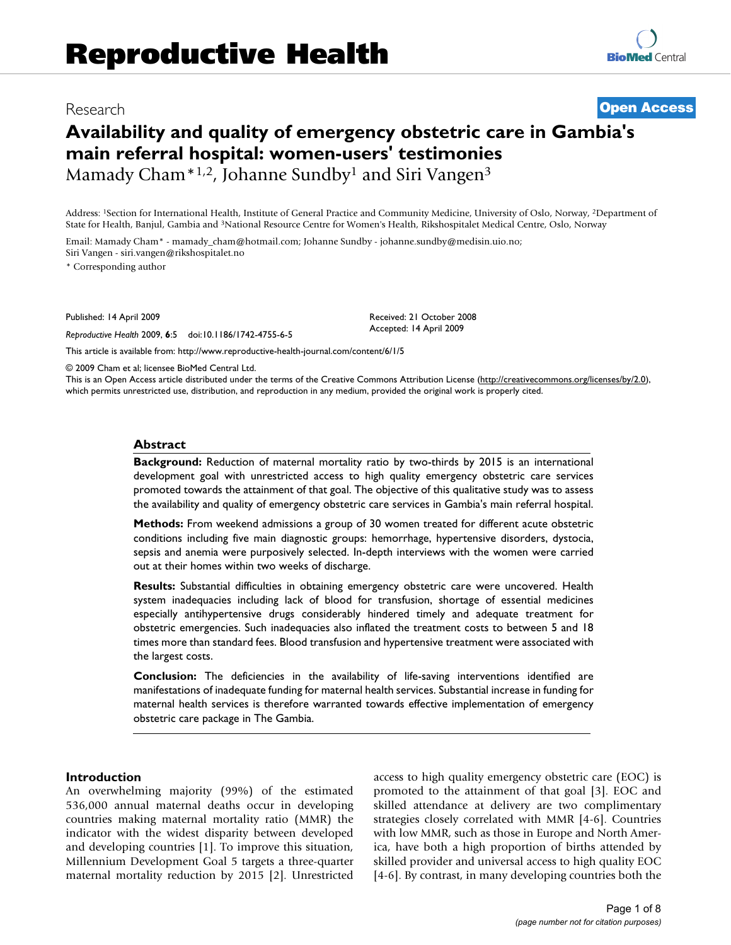# Research **[Open Access](http://www.biomedcentral.com/info/about/charter/)**

# **Availability and quality of emergency obstetric care in Gambia's main referral hospital: women-users' testimonies** Mamady Cham<sup>\*1,2</sup>, Johanne Sundby<sup>1</sup> and Siri Vangen<sup>3</sup>

Address: 1Section for International Health, Institute of General Practice and Community Medicine, University of Oslo, Norway, 2Department of State for Health, Banjul, Gambia and 3National Resource Centre for Women's Health, Rikshospitalet Medical Centre, Oslo, Norway

Email: Mamady Cham\* - mamady\_cham@hotmail.com; Johanne Sundby - johanne.sundby@medisin.uio.no; Siri Vangen - siri.vangen@rikshospitalet.no

\* Corresponding author

Published: 14 April 2009

*Reproductive Health* 2009, **6**:5 doi:10.1186/1742-4755-6-5

Received: 21 October 2008 Accepted: 14 April 2009

[This article is available from: http://www.reproductive-health-journal.com/content/6/1/5](http://www.reproductive-health-journal.com/content/6/1/5)

© 2009 Cham et al; licensee BioMed Central Ltd.

This is an Open Access article distributed under the terms of the Creative Commons Attribution License [\(http://creativecommons.org/licenses/by/2.0\)](http://creativecommons.org/licenses/by/2.0), which permits unrestricted use, distribution, and reproduction in any medium, provided the original work is properly cited.

#### **Abstract**

**Background:** Reduction of maternal mortality ratio by two-thirds by 2015 is an international development goal with unrestricted access to high quality emergency obstetric care services promoted towards the attainment of that goal. The objective of this qualitative study was to assess the availability and quality of emergency obstetric care services in Gambia's main referral hospital.

**Methods:** From weekend admissions a group of 30 women treated for different acute obstetric conditions including five main diagnostic groups: hemorrhage, hypertensive disorders, dystocia, sepsis and anemia were purposively selected. In-depth interviews with the women were carried out at their homes within two weeks of discharge.

**Results:** Substantial difficulties in obtaining emergency obstetric care were uncovered. Health system inadequacies including lack of blood for transfusion, shortage of essential medicines especially antihypertensive drugs considerably hindered timely and adequate treatment for obstetric emergencies. Such inadequacies also inflated the treatment costs to between 5 and 18 times more than standard fees. Blood transfusion and hypertensive treatment were associated with the largest costs.

**Conclusion:** The deficiencies in the availability of life-saving interventions identified are manifestations of inadequate funding for maternal health services. Substantial increase in funding for maternal health services is therefore warranted towards effective implementation of emergency obstetric care package in The Gambia.

#### **Introduction**

An overwhelming majority (99%) of the estimated 536,000 annual maternal deaths occur in developing countries making maternal mortality ratio (MMR) the indicator with the widest disparity between developed and developing countries [1]. To improve this situation, Millennium Development Goal 5 targets a three-quarter maternal mortality reduction by 2015 [2]. Unrestricted access to high quality emergency obstetric care (EOC) is promoted to the attainment of that goal [3]. EOC and skilled attendance at delivery are two complimentary strategies closely correlated with MMR [4-6]. Countries with low MMR, such as those in Europe and North America, have both a high proportion of births attended by skilled provider and universal access to high quality EOC [4-6]. By contrast, in many developing countries both the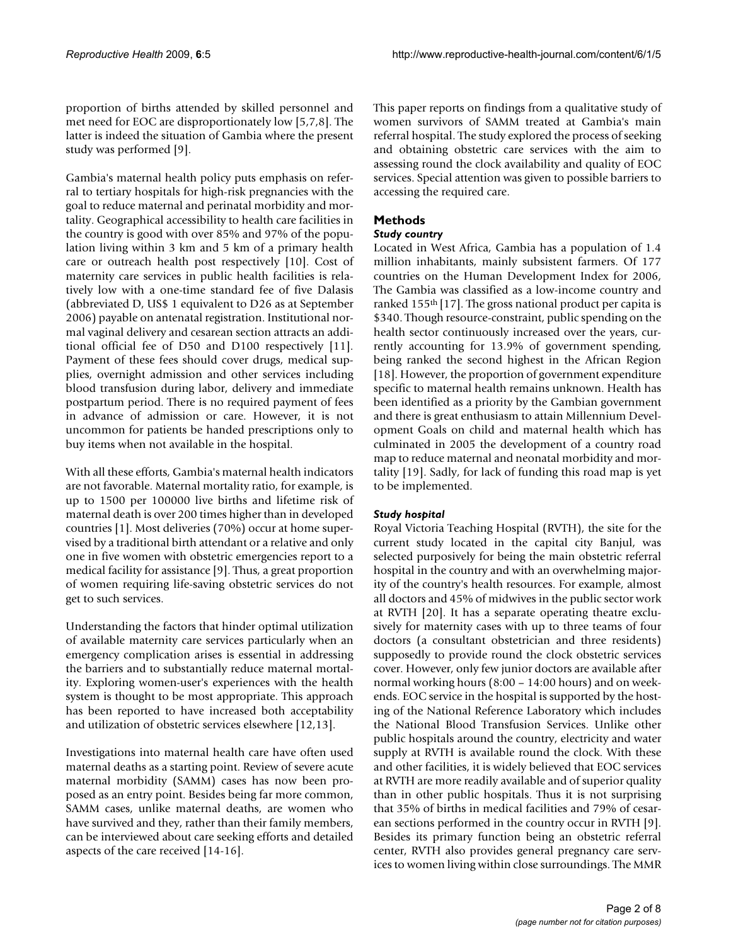proportion of births attended by skilled personnel and met need for EOC are disproportionately low [5,7,8]. The latter is indeed the situation of Gambia where the present study was performed [9].

Gambia's maternal health policy puts emphasis on referral to tertiary hospitals for high-risk pregnancies with the goal to reduce maternal and perinatal morbidity and mortality. Geographical accessibility to health care facilities in the country is good with over 85% and 97% of the population living within 3 km and 5 km of a primary health care or outreach health post respectively [10]. Cost of maternity care services in public health facilities is relatively low with a one-time standard fee of five Dalasis (abbreviated D, US\$ 1 equivalent to D26 as at September 2006) payable on antenatal registration. Institutional normal vaginal delivery and cesarean section attracts an additional official fee of D50 and D100 respectively [11]. Payment of these fees should cover drugs, medical supplies, overnight admission and other services including blood transfusion during labor, delivery and immediate postpartum period. There is no required payment of fees in advance of admission or care. However, it is not uncommon for patients be handed prescriptions only to buy items when not available in the hospital.

With all these efforts, Gambia's maternal health indicators are not favorable. Maternal mortality ratio, for example, is up to 1500 per 100000 live births and lifetime risk of maternal death is over 200 times higher than in developed countries [1]. Most deliveries (70%) occur at home supervised by a traditional birth attendant or a relative and only one in five women with obstetric emergencies report to a medical facility for assistance [9]. Thus, a great proportion of women requiring life-saving obstetric services do not get to such services.

Understanding the factors that hinder optimal utilization of available maternity care services particularly when an emergency complication arises is essential in addressing the barriers and to substantially reduce maternal mortality. Exploring women-user's experiences with the health system is thought to be most appropriate. This approach has been reported to have increased both acceptability and utilization of obstetric services elsewhere [12,13].

Investigations into maternal health care have often used maternal deaths as a starting point. Review of severe acute maternal morbidity (SAMM) cases has now been proposed as an entry point. Besides being far more common, SAMM cases, unlike maternal deaths, are women who have survived and they, rather than their family members, can be interviewed about care seeking efforts and detailed aspects of the care received [14-16].

This paper reports on findings from a qualitative study of women survivors of SAMM treated at Gambia's main referral hospital. The study explored the process of seeking and obtaining obstetric care services with the aim to assessing round the clock availability and quality of EOC services. Special attention was given to possible barriers to accessing the required care.

# **Methods**

# *Study country*

Located in West Africa, Gambia has a population of 1.4 million inhabitants, mainly subsistent farmers. Of 177 countries on the Human Development Index for 2006, The Gambia was classified as a low-income country and ranked 155<sup>th</sup> [17]. The gross national product per capita is \$340. Though resource-constraint, public spending on the health sector continuously increased over the years, currently accounting for 13.9% of government spending, being ranked the second highest in the African Region [18]. However, the proportion of government expenditure specific to maternal health remains unknown. Health has been identified as a priority by the Gambian government and there is great enthusiasm to attain Millennium Development Goals on child and maternal health which has culminated in 2005 the development of a country road map to reduce maternal and neonatal morbidity and mortality [19]. Sadly, for lack of funding this road map is yet to be implemented.

# *Study hospital*

Royal Victoria Teaching Hospital (RVTH), the site for the current study located in the capital city Banjul, was selected purposively for being the main obstetric referral hospital in the country and with an overwhelming majority of the country's health resources. For example, almost all doctors and 45% of midwives in the public sector work at RVTH [20]. It has a separate operating theatre exclusively for maternity cases with up to three teams of four doctors (a consultant obstetrician and three residents) supposedly to provide round the clock obstetric services cover. However, only few junior doctors are available after normal working hours (8:00 – 14:00 hours) and on weekends. EOC service in the hospital is supported by the hosting of the National Reference Laboratory which includes the National Blood Transfusion Services. Unlike other public hospitals around the country, electricity and water supply at RVTH is available round the clock. With these and other facilities, it is widely believed that EOC services at RVTH are more readily available and of superior quality than in other public hospitals. Thus it is not surprising that 35% of births in medical facilities and 79% of cesarean sections performed in the country occur in RVTH [9]. Besides its primary function being an obstetric referral center, RVTH also provides general pregnancy care services to women living within close surroundings. The MMR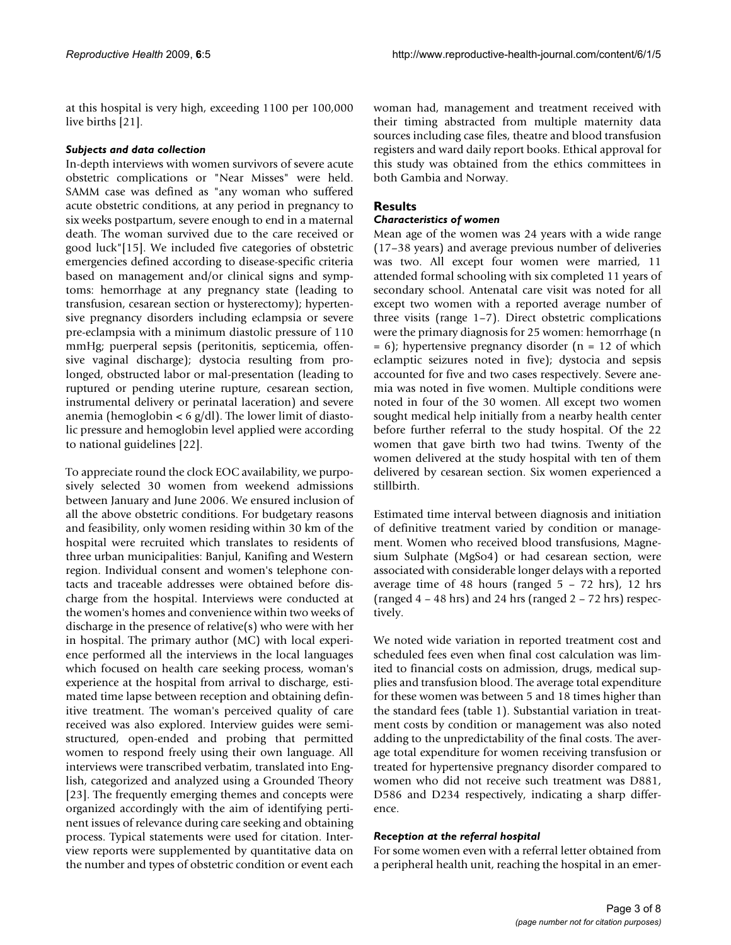at this hospital is very high, exceeding 1100 per 100,000 live births [21].

# *Subjects and data collection*

In-depth interviews with women survivors of severe acute obstetric complications or "Near Misses" were held. SAMM case was defined as "any woman who suffered acute obstetric conditions, at any period in pregnancy to six weeks postpartum, severe enough to end in a maternal death. The woman survived due to the care received or good luck"[15]. We included five categories of obstetric emergencies defined according to disease-specific criteria based on management and/or clinical signs and symptoms: hemorrhage at any pregnancy state (leading to transfusion, cesarean section or hysterectomy); hypertensive pregnancy disorders including eclampsia or severe pre-eclampsia with a minimum diastolic pressure of 110 mmHg; puerperal sepsis (peritonitis, septicemia, offensive vaginal discharge); dystocia resulting from prolonged, obstructed labor or mal-presentation (leading to ruptured or pending uterine rupture, cesarean section, instrumental delivery or perinatal laceration) and severe anemia (hemoglobin  $<$  6 g/dl). The lower limit of diastolic pressure and hemoglobin level applied were according to national guidelines [22].

To appreciate round the clock EOC availability, we purposively selected 30 women from weekend admissions between January and June 2006. We ensured inclusion of all the above obstetric conditions. For budgetary reasons and feasibility, only women residing within 30 km of the hospital were recruited which translates to residents of three urban municipalities: Banjul, Kanifing and Western region. Individual consent and women's telephone contacts and traceable addresses were obtained before discharge from the hospital. Interviews were conducted at the women's homes and convenience within two weeks of discharge in the presence of relative(s) who were with her in hospital. The primary author (MC) with local experience performed all the interviews in the local languages which focused on health care seeking process, woman's experience at the hospital from arrival to discharge, estimated time lapse between reception and obtaining definitive treatment. The woman's perceived quality of care received was also explored. Interview guides were semistructured, open-ended and probing that permitted women to respond freely using their own language. All interviews were transcribed verbatim, translated into English, categorized and analyzed using a Grounded Theory [23]. The frequently emerging themes and concepts were organized accordingly with the aim of identifying pertinent issues of relevance during care seeking and obtaining process. Typical statements were used for citation. Interview reports were supplemented by quantitative data on the number and types of obstetric condition or event each

woman had, management and treatment received with their timing abstracted from multiple maternity data sources including case files, theatre and blood transfusion registers and ward daily report books. Ethical approval for this study was obtained from the ethics committees in both Gambia and Norway.

# **Results**

# *Characteristics of women*

Mean age of the women was 24 years with a wide range (17–38 years) and average previous number of deliveries was two. All except four women were married, 11 attended formal schooling with six completed 11 years of secondary school. Antenatal care visit was noted for all except two women with a reported average number of three visits (range 1–7). Direct obstetric complications were the primary diagnosis for 25 women: hemorrhage (n  $= 6$ ); hypertensive pregnancy disorder (n  $= 12$  of which eclamptic seizures noted in five); dystocia and sepsis accounted for five and two cases respectively. Severe anemia was noted in five women. Multiple conditions were noted in four of the 30 women. All except two women sought medical help initially from a nearby health center before further referral to the study hospital. Of the 22 women that gave birth two had twins. Twenty of the women delivered at the study hospital with ten of them delivered by cesarean section. Six women experienced a stillbirth.

Estimated time interval between diagnosis and initiation of definitive treatment varied by condition or management. Women who received blood transfusions, Magnesium Sulphate (MgSo4) or had cesarean section, were associated with considerable longer delays with a reported average time of 48 hours (ranged  $5 - 72$  hrs), 12 hrs (ranged 4 – 48 hrs) and 24 hrs (ranged 2 – 72 hrs) respectively.

We noted wide variation in reported treatment cost and scheduled fees even when final cost calculation was limited to financial costs on admission, drugs, medical supplies and transfusion blood. The average total expenditure for these women was between 5 and 18 times higher than the standard fees (table 1). Substantial variation in treatment costs by condition or management was also noted adding to the unpredictability of the final costs. The average total expenditure for women receiving transfusion or treated for hypertensive pregnancy disorder compared to women who did not receive such treatment was D881, D586 and D234 respectively, indicating a sharp difference.

# *Reception at the referral hospital*

For some women even with a referral letter obtained from a peripheral health unit, reaching the hospital in an emer-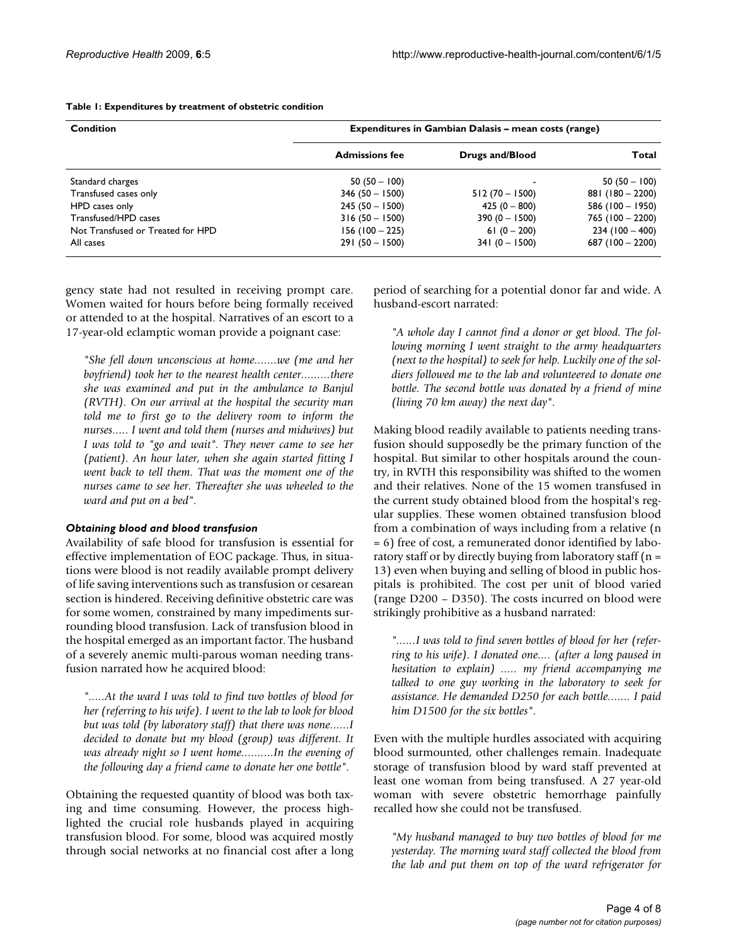| Condition                         | Expenditures in Gambian Dalasis – mean costs (range) |                        |                      |
|-----------------------------------|------------------------------------------------------|------------------------|----------------------|
|                                   | <b>Admissions fee</b>                                | <b>Drugs and/Blood</b> | Total                |
| Standard charges                  | $50(50 - 100)$                                       | -                      | $50(50 - 100)$       |
| Transfused cases only             | $346(50 - 1500)$                                     | $512(70 - 1500)$       | $881(180 - 2200)$    |
| HPD cases only                    | $245(50 - 1500)$                                     | $425(0 - 800)$         | 586 ( $100 - 1950$ ) |
| Transfused/HPD cases              | $316(50 - 1500)$                                     | $390(0 - 1500)$        | $765(100 - 2200)$    |
| Not Transfused or Treated for HPD | $156(100 - 225)$                                     | 61 $(0 - 200)$         | $234(100 - 400)$     |
| All cases                         | $291(50 - 1500)$                                     | $341(0 - 1500)$        | 687 $(100 - 2200)$   |

#### **Table 1: Expenditures by treatment of obstetric condition**

gency state had not resulted in receiving prompt care. Women waited for hours before being formally received or attended to at the hospital. Narratives of an escort to a 17-year-old eclamptic woman provide a poignant case:

*"She fell down unconscious at home.......we (me and her boyfriend) took her to the nearest health center.........there she was examined and put in the ambulance to Banjul (RVTH). On our arrival at the hospital the security man told me to first go to the delivery room to inform the nurses..... I went and told them (nurses and midwives) but I was told to "go and wait". They never came to see her (patient). An hour later, when she again started fitting I went back to tell them. That was the moment one of the nurses came to see her. Thereafter she was wheeled to the ward and put on a bed"*.

#### *Obtaining blood and blood transfusion*

Availability of safe blood for transfusion is essential for effective implementation of EOC package. Thus, in situations were blood is not readily available prompt delivery of life saving interventions such as transfusion or cesarean section is hindered. Receiving definitive obstetric care was for some women, constrained by many impediments surrounding blood transfusion. Lack of transfusion blood in the hospital emerged as an important factor. The husband of a severely anemic multi-parous woman needing transfusion narrated how he acquired blood:

*".....At the ward I was told to find two bottles of blood for her (referring to his wife). I went to the lab to look for blood but was told (by laboratory staff) that there was none......I decided to donate but my blood (group) was different. It was already night so I went home..........In the evening of the following day a friend came to donate her one bottle"*.

Obtaining the requested quantity of blood was both taxing and time consuming. However, the process highlighted the crucial role husbands played in acquiring transfusion blood. For some, blood was acquired mostly through social networks at no financial cost after a long period of searching for a potential donor far and wide. A husband-escort narrated:

*"A whole day I cannot find a donor or get blood. The following morning I went straight to the army headquarters (next to the hospital) to seek for help. Luckily one of the soldiers followed me to the lab and volunteered to donate one bottle. The second bottle was donated by a friend of mine (living 70 km away) the next day"*.

Making blood readily available to patients needing transfusion should supposedly be the primary function of the hospital. But similar to other hospitals around the country, in RVTH this responsibility was shifted to the women and their relatives. None of the 15 women transfused in the current study obtained blood from the hospital's regular supplies. These women obtained transfusion blood from a combination of ways including from a relative (n = 6) free of cost, a remunerated donor identified by laboratory staff or by directly buying from laboratory staff ( $n =$ 13) even when buying and selling of blood in public hospitals is prohibited. The cost per unit of blood varied (range D200 – D350). The costs incurred on blood were strikingly prohibitive as a husband narrated:

*"......I was told to find seven bottles of blood for her (referring to his wife). I donated one.... (after a long paused in hesitation to explain) ..... my friend accompanying me talked to one guy working in the laboratory to seek for assistance. He demanded D250 for each bottle....... I paid him D1500 for the six bottles"*.

Even with the multiple hurdles associated with acquiring blood surmounted, other challenges remain. Inadequate storage of transfusion blood by ward staff prevented at least one woman from being transfused. A 27 year-old woman with severe obstetric hemorrhage painfully recalled how she could not be transfused.

*"My husband managed to buy two bottles of blood for me yesterday. The morning ward staff collected the blood from the lab and put them on top of the ward refrigerator for*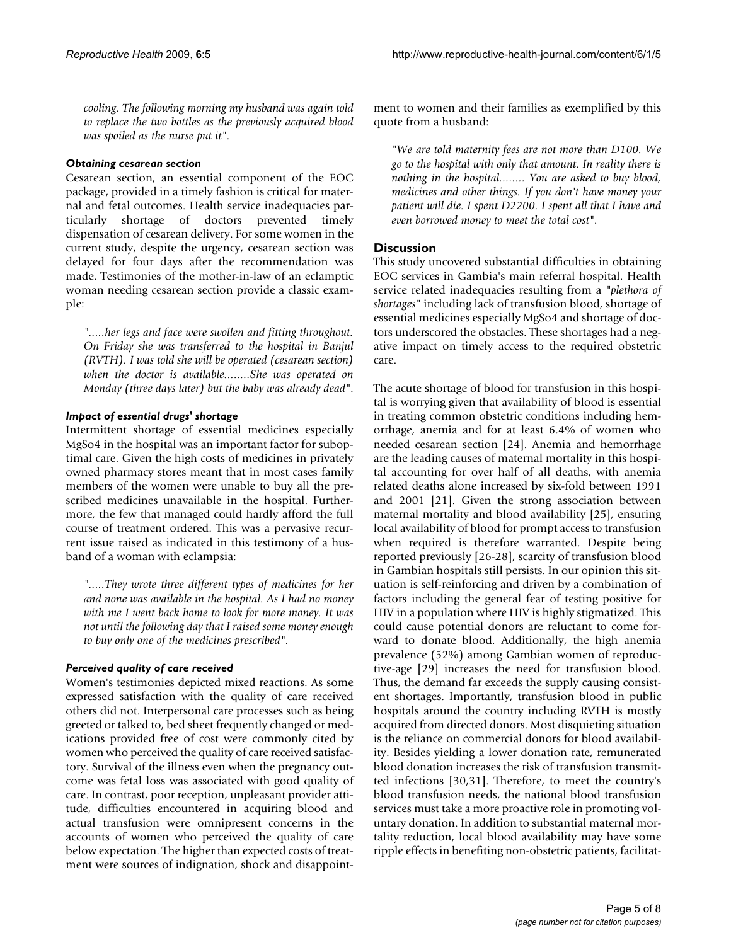*cooling. The following morning my husband was again told to replace the two bottles as the previously acquired blood was spoiled as the nurse put it"*.

#### *Obtaining cesarean section*

Cesarean section, an essential component of the EOC package, provided in a timely fashion is critical for maternal and fetal outcomes. Health service inadequacies particularly shortage of doctors prevented timely dispensation of cesarean delivery. For some women in the current study, despite the urgency, cesarean section was delayed for four days after the recommendation was made. Testimonies of the mother-in-law of an eclamptic woman needing cesarean section provide a classic example:

*".....her legs and face were swollen and fitting throughout. On Friday she was transferred to the hospital in Banjul (RVTH). I was told she will be operated (cesarean section) when the doctor is available........She was operated on Monday (three days later) but the baby was already dead"*.

### *Impact of essential drugs' shortage*

Intermittent shortage of essential medicines especially MgSo4 in the hospital was an important factor for suboptimal care. Given the high costs of medicines in privately owned pharmacy stores meant that in most cases family members of the women were unable to buy all the prescribed medicines unavailable in the hospital. Furthermore, the few that managed could hardly afford the full course of treatment ordered. This was a pervasive recurrent issue raised as indicated in this testimony of a husband of a woman with eclampsia:

*".....They wrote three different types of medicines for her and none was available in the hospital. As I had no money with me I went back home to look for more money. It was not until the following day that I raised some money enough to buy only one of the medicines prescribed"*.

# *Perceived quality of care received*

Women's testimonies depicted mixed reactions. As some expressed satisfaction with the quality of care received others did not. Interpersonal care processes such as being greeted or talked to, bed sheet frequently changed or medications provided free of cost were commonly cited by women who perceived the quality of care received satisfactory. Survival of the illness even when the pregnancy outcome was fetal loss was associated with good quality of care. In contrast, poor reception, unpleasant provider attitude, difficulties encountered in acquiring blood and actual transfusion were omnipresent concerns in the accounts of women who perceived the quality of care below expectation. The higher than expected costs of treatment were sources of indignation, shock and disappointment to women and their families as exemplified by this quote from a husband:

*"We are told maternity fees are not more than D100. We go to the hospital with only that amount. In reality there is nothing in the hospital........ You are asked to buy blood, medicines and other things. If you don't have money your patient will die. I spent D2200. I spent all that I have and even borrowed money to meet the total cost"*.

# **Discussion**

This study uncovered substantial difficulties in obtaining EOC services in Gambia's main referral hospital. Health service related inadequacies resulting from a *"plethora of shortages"* including lack of transfusion blood, shortage of essential medicines especially MgSo4 and shortage of doctors underscored the obstacles. These shortages had a negative impact on timely access to the required obstetric care.

The acute shortage of blood for transfusion in this hospital is worrying given that availability of blood is essential in treating common obstetric conditions including hemorrhage, anemia and for at least 6.4% of women who needed cesarean section [24]. Anemia and hemorrhage are the leading causes of maternal mortality in this hospital accounting for over half of all deaths, with anemia related deaths alone increased by six-fold between 1991 and 2001 [21]. Given the strong association between maternal mortality and blood availability [25], ensuring local availability of blood for prompt access to transfusion when required is therefore warranted. Despite being reported previously [26-28], scarcity of transfusion blood in Gambian hospitals still persists. In our opinion this situation is self-reinforcing and driven by a combination of factors including the general fear of testing positive for HIV in a population where HIV is highly stigmatized. This could cause potential donors are reluctant to come forward to donate blood. Additionally, the high anemia prevalence (52%) among Gambian women of reproductive-age [29] increases the need for transfusion blood. Thus, the demand far exceeds the supply causing consistent shortages. Importantly, transfusion blood in public hospitals around the country including RVTH is mostly acquired from directed donors. Most disquieting situation is the reliance on commercial donors for blood availability. Besides yielding a lower donation rate, remunerated blood donation increases the risk of transfusion transmitted infections [30,31]. Therefore, to meet the country's blood transfusion needs, the national blood transfusion services must take a more proactive role in promoting voluntary donation. In addition to substantial maternal mortality reduction, local blood availability may have some ripple effects in benefiting non-obstetric patients, facilitat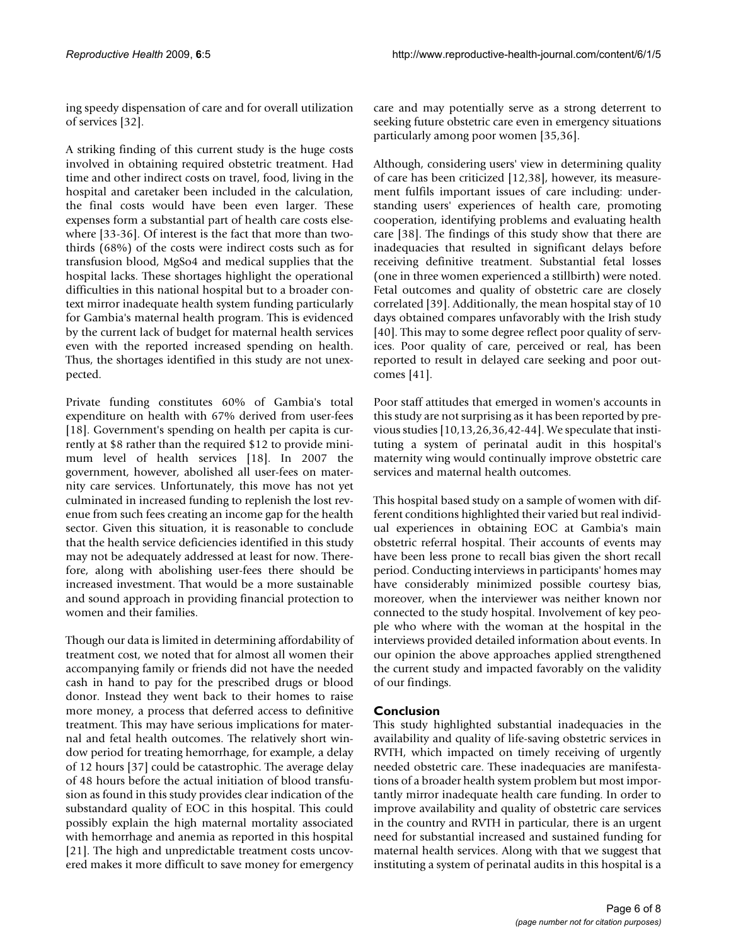ing speedy dispensation of care and for overall utilization of services [32].

A striking finding of this current study is the huge costs involved in obtaining required obstetric treatment. Had time and other indirect costs on travel, food, living in the hospital and caretaker been included in the calculation, the final costs would have been even larger. These expenses form a substantial part of health care costs elsewhere [33-36]. Of interest is the fact that more than twothirds (68%) of the costs were indirect costs such as for transfusion blood, MgSo4 and medical supplies that the hospital lacks. These shortages highlight the operational difficulties in this national hospital but to a broader context mirror inadequate health system funding particularly for Gambia's maternal health program. This is evidenced by the current lack of budget for maternal health services even with the reported increased spending on health. Thus, the shortages identified in this study are not unexpected.

Private funding constitutes 60% of Gambia's total expenditure on health with 67% derived from user-fees [18]. Government's spending on health per capita is currently at \$8 rather than the required \$12 to provide minimum level of health services [18]. In 2007 the government, however, abolished all user-fees on maternity care services. Unfortunately, this move has not yet culminated in increased funding to replenish the lost revenue from such fees creating an income gap for the health sector. Given this situation, it is reasonable to conclude that the health service deficiencies identified in this study may not be adequately addressed at least for now. Therefore, along with abolishing user-fees there should be increased investment. That would be a more sustainable and sound approach in providing financial protection to women and their families.

Though our data is limited in determining affordability of treatment cost, we noted that for almost all women their accompanying family or friends did not have the needed cash in hand to pay for the prescribed drugs or blood donor. Instead they went back to their homes to raise more money, a process that deferred access to definitive treatment. This may have serious implications for maternal and fetal health outcomes. The relatively short window period for treating hemorrhage, for example, a delay of 12 hours [37] could be catastrophic. The average delay of 48 hours before the actual initiation of blood transfusion as found in this study provides clear indication of the substandard quality of EOC in this hospital. This could possibly explain the high maternal mortality associated with hemorrhage and anemia as reported in this hospital [21]. The high and unpredictable treatment costs uncovered makes it more difficult to save money for emergency care and may potentially serve as a strong deterrent to seeking future obstetric care even in emergency situations particularly among poor women [35,36].

Although, considering users' view in determining quality of care has been criticized [12,38], however, its measurement fulfils important issues of care including: understanding users' experiences of health care, promoting cooperation, identifying problems and evaluating health care [38]. The findings of this study show that there are inadequacies that resulted in significant delays before receiving definitive treatment. Substantial fetal losses (one in three women experienced a stillbirth) were noted. Fetal outcomes and quality of obstetric care are closely correlated [39]. Additionally, the mean hospital stay of 10 days obtained compares unfavorably with the Irish study [40]. This may to some degree reflect poor quality of services. Poor quality of care, perceived or real, has been reported to result in delayed care seeking and poor outcomes [41].

Poor staff attitudes that emerged in women's accounts in this study are not surprising as it has been reported by previous studies [10,13,26,36,42-44]. We speculate that instituting a system of perinatal audit in this hospital's maternity wing would continually improve obstetric care services and maternal health outcomes.

This hospital based study on a sample of women with different conditions highlighted their varied but real individual experiences in obtaining EOC at Gambia's main obstetric referral hospital. Their accounts of events may have been less prone to recall bias given the short recall period. Conducting interviews in participants' homes may have considerably minimized possible courtesy bias, moreover, when the interviewer was neither known nor connected to the study hospital. Involvement of key people who where with the woman at the hospital in the interviews provided detailed information about events. In our opinion the above approaches applied strengthened the current study and impacted favorably on the validity of our findings.

# **Conclusion**

This study highlighted substantial inadequacies in the availability and quality of life-saving obstetric services in RVTH, which impacted on timely receiving of urgently needed obstetric care. These inadequacies are manifestations of a broader health system problem but most importantly mirror inadequate health care funding. In order to improve availability and quality of obstetric care services in the country and RVTH in particular, there is an urgent need for substantial increased and sustained funding for maternal health services. Along with that we suggest that instituting a system of perinatal audits in this hospital is a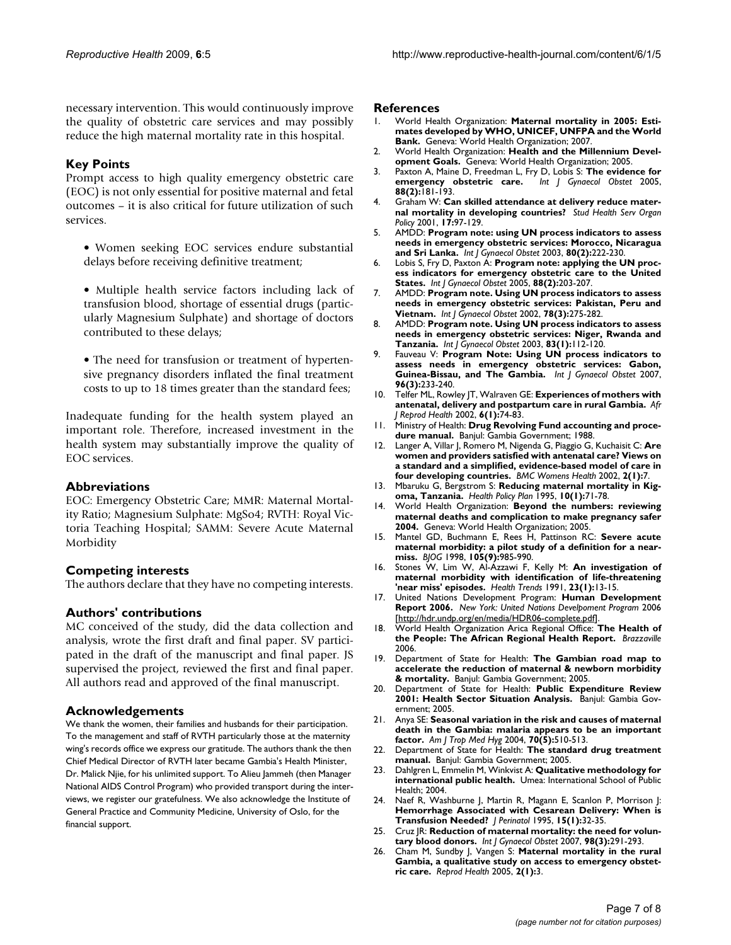necessary intervention. This would continuously improve the quality of obstetric care services and may possibly reduce the high maternal mortality rate in this hospital.

# **Key Points**

Prompt access to high quality emergency obstetric care (EOC) is not only essential for positive maternal and fetal outcomes – it is also critical for future utilization of such services.

- Women seeking EOC services endure substantial delays before receiving definitive treatment;
- Multiple health service factors including lack of transfusion blood, shortage of essential drugs (particularly Magnesium Sulphate) and shortage of doctors contributed to these delays;

• The need for transfusion or treatment of hypertensive pregnancy disorders inflated the final treatment costs to up to 18 times greater than the standard fees;

Inadequate funding for the health system played an important role. Therefore, increased investment in the health system may substantially improve the quality of EOC services.

#### **Abbreviations**

EOC: Emergency Obstetric Care; MMR: Maternal Mortality Ratio; Magnesium Sulphate: MgSo4; RVTH: Royal Victoria Teaching Hospital; SAMM: Severe Acute Maternal Morbidity

#### **Competing interests**

The authors declare that they have no competing interests.

#### **Authors' contributions**

MC conceived of the study, did the data collection and analysis, wrote the first draft and final paper. SV participated in the draft of the manuscript and final paper. JS supervised the project, reviewed the first and final paper. All authors read and approved of the final manuscript.

#### **Acknowledgements**

We thank the women, their families and husbands for their participation. To the management and staff of RVTH particularly those at the maternity wing's records office we express our gratitude. The authors thank the then Chief Medical Director of RVTH later became Gambia's Health Minister, Dr. Malick Njie, for his unlimited support. To Alieu Jammeh (then Manager National AIDS Control Program) who provided transport during the interviews, we register our gratefulness. We also acknowledge the Institute of General Practice and Community Medicine, University of Oslo, for the financial support.

#### **References**

- 1. World Health Organization: **Maternal mortality in 2005: Estimates developed by WHO, UNICEF, UNFPA and the World Bank.** Geneva: World Health Organization; 2007.
- 2. World Health Organization: **Health and the Millennium Development Goals.** Geneva: World Health Organization; 2005.
- 3. Paxton A, Maine D, Freedman L, Fry D, Lobis S: **[The evidence for](http://www.ncbi.nlm.nih.gov/entrez/query.fcgi?cmd=Retrieve&db=PubMed&dopt=Abstract&list_uids=15694106)** Int J Gynaecol Obstet 2005, **88(2):**181-193.
- 4. Graham W: **Can skilled attendance at delivery reduce maternal mortality in developing countries?** *Stud Health Serv Organ Policy* 2001, **17:**97-129.
- 5. AMDD: **[Program note: using UN process indicators to assess](http://www.ncbi.nlm.nih.gov/entrez/query.fcgi?cmd=Retrieve&db=PubMed&dopt=Abstract&list_uids=12566202) [needs in emergency obstetric services: Morocco, Nicaragua](http://www.ncbi.nlm.nih.gov/entrez/query.fcgi?cmd=Retrieve&db=PubMed&dopt=Abstract&list_uids=12566202) [and Sri Lanka.](http://www.ncbi.nlm.nih.gov/entrez/query.fcgi?cmd=Retrieve&db=PubMed&dopt=Abstract&list_uids=12566202)** *Int J Gynaecol Obstet* 2003, **80(2):**222-230.
- 6. Lobis S, Fry D, Paxton A: **[Program note: applying the UN proc](http://www.ncbi.nlm.nih.gov/entrez/query.fcgi?cmd=Retrieve&db=PubMed&dopt=Abstract&list_uids=15694108)[ess indicators for emergency obstetric care to the United](http://www.ncbi.nlm.nih.gov/entrez/query.fcgi?cmd=Retrieve&db=PubMed&dopt=Abstract&list_uids=15694108) [States.](http://www.ncbi.nlm.nih.gov/entrez/query.fcgi?cmd=Retrieve&db=PubMed&dopt=Abstract&list_uids=15694108)** *Int J Gynaecol Obstet* 2005, **88(2):**203-207.
- 7. AMDD: **[Program note. Using UN process indicators to assess](http://www.ncbi.nlm.nih.gov/entrez/query.fcgi?cmd=Retrieve&db=PubMed&dopt=Abstract&list_uids=12384277) [needs in emergency obstetric services: Pakistan, Peru and](http://www.ncbi.nlm.nih.gov/entrez/query.fcgi?cmd=Retrieve&db=PubMed&dopt=Abstract&list_uids=12384277) [Vietnam.](http://www.ncbi.nlm.nih.gov/entrez/query.fcgi?cmd=Retrieve&db=PubMed&dopt=Abstract&list_uids=12384277)** *Int J Gynaecol Obstet* 2002, **78(3):**275-282.
- 8. AMDD: **[Program note. Using UN process indicators to assess](http://www.ncbi.nlm.nih.gov/entrez/query.fcgi?cmd=Retrieve&db=PubMed&dopt=Abstract&list_uids=14511885) [needs in emergency obstetric services: Niger, Rwanda and](http://www.ncbi.nlm.nih.gov/entrez/query.fcgi?cmd=Retrieve&db=PubMed&dopt=Abstract&list_uids=14511885) [Tanzania.](http://www.ncbi.nlm.nih.gov/entrez/query.fcgi?cmd=Retrieve&db=PubMed&dopt=Abstract&list_uids=14511885)** *Int J Gynaecol Obstet* 2003, **83(1):**112-120.
- 9. Fauveau V: **[Program Note: Using UN process indicators to](http://www.ncbi.nlm.nih.gov/entrez/query.fcgi?cmd=Retrieve&db=PubMed&dopt=Abstract&list_uids=17291505) [assess needs in emergency obstetric services: Gabon,](http://www.ncbi.nlm.nih.gov/entrez/query.fcgi?cmd=Retrieve&db=PubMed&dopt=Abstract&list_uids=17291505) [Guinea-Bissau, and The Gambia.](http://www.ncbi.nlm.nih.gov/entrez/query.fcgi?cmd=Retrieve&db=PubMed&dopt=Abstract&list_uids=17291505)** *Int J Gynaecol Obstet* 2007, **96(3):**233-240.
- 10. Telfer ML, Rowley JT, Walraven GE: **[Experiences of mothers with](http://www.ncbi.nlm.nih.gov/entrez/query.fcgi?cmd=Retrieve&db=PubMed&dopt=Abstract&list_uids=12476731) [antenatal, delivery and postpartum care in rural Gambia.](http://www.ncbi.nlm.nih.gov/entrez/query.fcgi?cmd=Retrieve&db=PubMed&dopt=Abstract&list_uids=12476731)** *Afr J Reprod Health* 2002, **6(1):**74-83.
- 11. Ministry of Health: **Drug Revolving Fund accounting and procedure manual.** Banjul: Gambia Government; 1988.
- 12. Langer A, Villar J, Romero M, Nigenda G, Piaggio G, Kuchaisit C: **[Are](http://www.ncbi.nlm.nih.gov/entrez/query.fcgi?cmd=Retrieve&db=PubMed&dopt=Abstract&list_uids=12133195) women and providers satisfied with antenatal care? Views on [a standard and a simplified, evidence-based model of care in](http://www.ncbi.nlm.nih.gov/entrez/query.fcgi?cmd=Retrieve&db=PubMed&dopt=Abstract&list_uids=12133195) [four developing countries.](http://www.ncbi.nlm.nih.gov/entrez/query.fcgi?cmd=Retrieve&db=PubMed&dopt=Abstract&list_uids=12133195)** *BMC Womens Health* 2002, **2(1):**7.
- 13. Mbaruku G, Bergstrom S: **[Reducing maternal mortality in Kig](http://www.ncbi.nlm.nih.gov/entrez/query.fcgi?cmd=Retrieve&db=PubMed&dopt=Abstract&list_uids=10141624)[oma, Tanzania.](http://www.ncbi.nlm.nih.gov/entrez/query.fcgi?cmd=Retrieve&db=PubMed&dopt=Abstract&list_uids=10141624)** *Health Policy Plan* 1995, **10(1):**71-78.
- 14. World Health Organization: **Beyond the numbers: reviewing maternal deaths and complication to make pregnancy safer 2004.** Geneva: World Health Organization; 2005.
- 15. Mantel GD, Buchmann E, Rees H, Pattinson RC: **Severe acute maternal morbidity: a pilot study of a definition for a nearmiss.** *BJOG* 1998, **105(9):**985-990.
- 16. Stones W, Lim W, Al-Azzawi F, Kelly M: **[An investigation of](http://www.ncbi.nlm.nih.gov/entrez/query.fcgi?cmd=Retrieve&db=PubMed&dopt=Abstract&list_uids=10113878) [maternal morbidity with identification of life-threatening](http://www.ncbi.nlm.nih.gov/entrez/query.fcgi?cmd=Retrieve&db=PubMed&dopt=Abstract&list_uids=10113878) ['near miss' episodes.](http://www.ncbi.nlm.nih.gov/entrez/query.fcgi?cmd=Retrieve&db=PubMed&dopt=Abstract&list_uids=10113878)** *Health Trends* 1991, **23(1):**13-15.
- 17. United Nations Development Program: **Human Development Report 2006.** *New York: United Nations Develpoment Program* 2006 [<http://hdr.undp.org/en/media/HDR06-complete.pdf>].
- 18. World Health Organization Arica Regional Office: **The Health of the People: The African Regional Health Report.** *Brazzaville* 2006.
- 19. Department of State for Health: **The Gambian road map to accelerate the reduction of maternal & newborn morbidity & mortality.** Banjul: Gambia Government; 2005.
- 20. Department of State for Health: **Public Expenditure Review 2001: Health Sector Situation Analysis.** Banjul: Gambia Government; 2005.
- 21. Anya SE: **[Seasonal variation in the risk and causes of maternal](http://www.ncbi.nlm.nih.gov/entrez/query.fcgi?cmd=Retrieve&db=PubMed&dopt=Abstract&list_uids=15155982) [death in the Gambia: malaria appears to be an important](http://www.ncbi.nlm.nih.gov/entrez/query.fcgi?cmd=Retrieve&db=PubMed&dopt=Abstract&list_uids=15155982) [factor.](http://www.ncbi.nlm.nih.gov/entrez/query.fcgi?cmd=Retrieve&db=PubMed&dopt=Abstract&list_uids=15155982)** *Am J Trop Med Hyg* 2004, **70(5):**510-513.
- 22. Department of State for Health: **The standard drug treatment manual.** Banjul: Gambia Government; 2005.
- 23. Dahlgren L, Emmelin M, Winkvist A: **Qualitative methodology for international public health.** Umea: International School of Public Health; 2004.
- 24. Naef R, Washburne J, Martin R, Magann E, Scanlon P, Morrison J: **[Hemorrhage Associated with Cesarean Delivery: When is](http://www.ncbi.nlm.nih.gov/entrez/query.fcgi?cmd=Retrieve&db=PubMed&dopt=Abstract&list_uids=7650550) [Transfusion Needed?](http://www.ncbi.nlm.nih.gov/entrez/query.fcgi?cmd=Retrieve&db=PubMed&dopt=Abstract&list_uids=7650550)** *J Perinatol* 1995, **15(1):**32-35.
- 25. Cruz JR: **[Reduction of maternal mortality: the need for volun](http://www.ncbi.nlm.nih.gov/entrez/query.fcgi?cmd=Retrieve&db=PubMed&dopt=Abstract&list_uids=17374536)[tary blood donors.](http://www.ncbi.nlm.nih.gov/entrez/query.fcgi?cmd=Retrieve&db=PubMed&dopt=Abstract&list_uids=17374536)** *Int J Gynaecol Obstet* 2007, **98(3):**291-293.
- 26. Cham M, Sundby J, Vangen S: **[Maternal mortality in the rural](http://www.ncbi.nlm.nih.gov/entrez/query.fcgi?cmd=Retrieve&db=PubMed&dopt=Abstract&list_uids=15871743) [Gambia, a qualitative study on access to emergency obstet](http://www.ncbi.nlm.nih.gov/entrez/query.fcgi?cmd=Retrieve&db=PubMed&dopt=Abstract&list_uids=15871743)[ric care.](http://www.ncbi.nlm.nih.gov/entrez/query.fcgi?cmd=Retrieve&db=PubMed&dopt=Abstract&list_uids=15871743)** *Reprod Health* 2005, **2(1):**3.